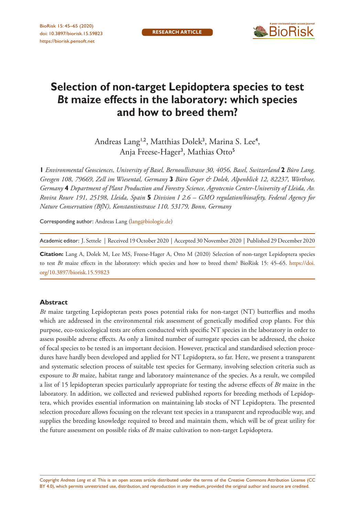

# **Selection of non-target Lepidoptera species to test**  *Bt* **maize effects in the laboratory: which species and how to breed them?**

Andreas Lang<sup>1,2</sup>, Matthias Dolek<sup>3</sup>, Marina S. Lee<sup>4</sup>, Anja Freese-Hager<sup>3</sup>, Mathias Otto<sup>5</sup>

**1** *Environmental Geosciences, University of Basel, Bernoullistrasse 30, 4056, Basel, Switzerland* **2** *Büro Lang, Gresgen 108, 79669, Zell im Wiesental, Germany* **3** *Büro Geyer & Dolek, Alpenblick 12, 82237, Wörthsee, Germany* **4** *Department of Plant Production and Forestry Science, Agrotecnio Center-University of Lleida, Av. Rovira Roure 191, 25198, Lleida, Spain* **5** *Division I 2.6 – GMO regulation/biosafety, Federal Agency for Nature Conservation (BfN), Konstantinstrasse 110, 53179, Bonn, Germany*

Corresponding author: Andreas Lang [\(lang@biologie.de](mailto:lang@biologie.de))

Academic editor: J. Settele | Received 19 October 2020 | Accepted 30 November 2020 | Published 29 December 2020

**Citation:** Lang A, Dolek M, Lee MS, Freese-Hager A, Otto M (2020) Selection of non-target Lepidoptera species to test *Bt* maize effects in the laboratory: which species and how to breed them? BioRisk 15: 45–65. [https://doi.](https://doi.org/10.3897/biorisk.15.59823) [org/10.3897/biorisk.15.59823](https://doi.org/10.3897/biorisk.15.59823)

#### **Abstract**

*Bt* maize targeting Lepidopteran pests poses potential risks for non-target (NT) butterflies and moths which are addressed in the environmental risk assessment of genetically modified crop plants. For this purpose, eco-toxicological tests are often conducted with specific NT species in the laboratory in order to assess possible adverse effects. As only a limited number of surrogate species can be addressed, the choice of focal species to be tested is an important decision. However, practical and standardised selection procedures have hardly been developed and applied for NT Lepidoptera, so far. Here, we present a transparent and systematic selection process of suitable test species for Germany, involving selection criteria such as exposure to *Bt* maize, habitat range and laboratory maintenance of the species. As a result, we compiled a list of 15 lepidopteran species particularly appropriate for testing the adverse effects of *Bt* maize in the laboratory. In addition, we collected and reviewed published reports for breeding methods of Lepidoptera, which provides essential information on maintaining lab stocks of NT Lepidoptera. The presented selection procedure allows focusing on the relevant test species in a transparent and reproducible way, and supplies the breeding knowledge required to breed and maintain them, which will be of great utility for the future assessment on possible risks of *Bt* maize cultivation to non-target Lepidoptera.

Copyright *Andreas Lang et al.* This is an open access article distributed under the terms of the [Creative Commons Attribution License \(CC](http://creativecommons.org/licenses/by/4.0/)  [BY 4.0\)](http://creativecommons.org/licenses/by/4.0/), which permits unrestricted use, distribution, and reproduction in any medium, provided the original author and source are credited.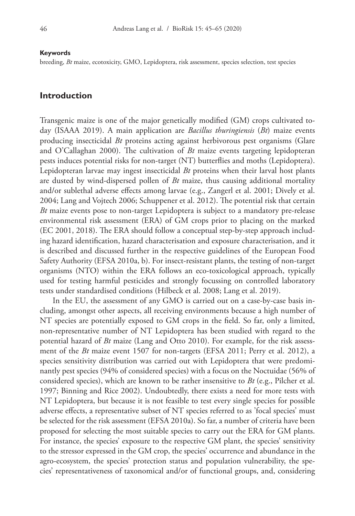#### **Keywords**

breeding, *Bt* maize, ecotoxicity, GMO, Lepidoptera, risk assessment, species selection, test species

#### **Introduction**

Transgenic maize is one of the major genetically modified (GM) crops cultivated today (ISAAA 2019). A main application are *Bacillus thuringiensis* (*Bt*) maize events producing insecticidal *Bt* proteins acting against herbivorous pest organisms (Glare and O'Callaghan 2000). The cultivation of *Bt* maize events targeting lepidopteran pests induces potential risks for non-target (NT) butterflies and moths (Lepidoptera). Lepidopteran larvae may ingest insecticidal *Bt* proteins when their larval host plants are dusted by wind-dispersed pollen of *Bt* maize, thus causing additional mortality and/or sublethal adverse effects among larvae (e.g., Zangerl et al. 2001; Dively et al. 2004; Lang and Vojtech 2006; Schuppener et al. 2012). The potential risk that certain *Bt* maize events pose to non-target Lepidoptera is subject to a mandatory pre-release environmental risk assessment (ERA) of GM crops prior to placing on the marked (EC 2001, 2018). The ERA should follow a conceptual step-by-step approach including hazard identification, hazard characterisation and exposure characterisation, and it is described and discussed further in the respective guidelines of the European Food Safety Authority (EFSA 2010a, b). For insect-resistant plants, the testing of non-target organisms (NTO) within the ERA follows an eco-toxicological approach, typically used for testing harmful pesticides and strongly focussing on controlled laboratory tests under standardised conditions (Hilbeck et al. 2008; Lang et al. 2019).

In the EU, the assessment of any GMO is carried out on a case-by-case basis including, amongst other aspects, all receiving environments because a high number of NT species are potentially exposed to GM crops in the field. So far, only a limited, non-representative number of NT Lepidoptera has been studied with regard to the potential hazard of *Bt* maize (Lang and Otto 2010). For example, for the risk assessment of the *Bt* maize event 1507 for non-targets (EFSA 2011; Perry et al. 2012), a species sensitivity distribution was carried out with Lepidoptera that were predominantly pest species (94% of considered species) with a focus on the Noctuidae (56% of considered species), which are known to be rather insensitive to *Bt* (e.g., Pilcher et al. 1997; Binning and Rice 2002). Undoubtedly, there exists a need for more tests with NT Lepidoptera, but because it is not feasible to test every single species for possible adverse effects, a representative subset of NT species referred to as 'focal species' must be selected for the risk assessment (EFSA 2010a). So far, a number of criteria have been proposed for selecting the most suitable species to carry out the ERA for GM plants. For instance, the species' exposure to the respective GM plant, the species' sensitivity to the stressor expressed in the GM crop, the species' occurrence and abundance in the agro-ecosystem, the species' protection status and population vulnerability, the species' representativeness of taxonomical and/or of functional groups, and, considering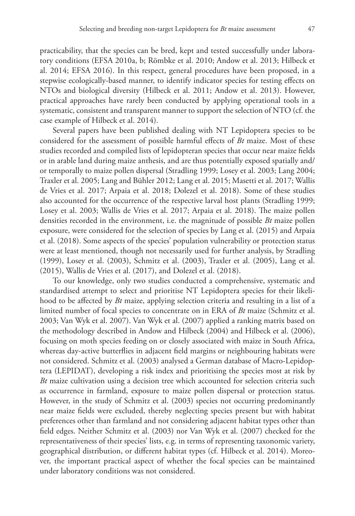practicability, that the species can be bred, kept and tested successfully under laboratory conditions (EFSA 2010a, b; Römbke et al. 2010; Andow et al. 2013; Hilbeck et al. 2014; EFSA 2016). In this respect, general procedures have been proposed, in a stepwise ecologically-based manner, to identify indicator species for testing effects on NTOs and biological diversity (Hilbeck et al. 2011; Andow et al. 2013). However, practical approaches have rarely been conducted by applying operational tools in a systematic, consistent and transparent manner to support the selection of NTO (cf. the case example of Hilbeck et al. 2014).

Several papers have been published dealing with NT Lepidoptera species to be considered for the assessment of possible harmful effects of *Bt* maize. Most of these studies recorded and compiled lists of lepidopteran species that occur near maize fields or in arable land during maize anthesis, and are thus potentially exposed spatially and/ or temporally to maize pollen dispersal (Stradling 1999; Losey et al. 2003; Lang 2004; Traxler et al. 2005; Lang and Bühler 2012; Lang et al. 2015; Masetti et al. 2017; Wallis de Vries et al. 2017; Arpaia et al. 2018; Dolezel et al. 2018). Some of these studies also accounted for the occurrence of the respective larval host plants (Stradling 1999; Losey et al. 2003; Wallis de Vries et al. 2017; Arpaia et al. 2018). The maize pollen densities recorded in the environment, i.e. the magnitude of possible *Bt* maize pollen exposure, were considered for the selection of species by Lang et al. (2015) and Arpaia et al. (2018). Some aspects of the species' population vulnerability or protection status were at least mentioned, though not necessarily used for further analysis, by Stradling (1999), Losey et al. (2003), Schmitz et al. (2003), Traxler et al. (2005), Lang et al. (2015), Wallis de Vries et al. (2017), and Dolezel et al. (2018).

To our knowledge, only two studies conducted a comprehensive, systematic and standardised attempt to select and prioritise NT Lepidoptera species for their likelihood to be affected by *Bt* maize, applying selection criteria and resulting in a list of a limited number of focal species to concentrate on in ERA of *Bt* maize (Schmitz et al. 2003; Van Wyk et al. 2007). Van Wyk et al. (2007) applied a ranking matrix based on the methodology described in Andow and Hilbeck (2004) and Hilbeck et al. (2006), focusing on moth species feeding on or closely associated with maize in South Africa, whereas day-active butterflies in adjacent field margins or neighbouring habitats were not considered. Schmitz et al. (2003) analysed a German database of Macro-Lepidoptera (LEPIDAT), developing a risk index and prioritising the species most at risk by *Bt* maize cultivation using a decision tree which accounted for selection criteria such as occurrence in farmland, exposure to maize pollen dispersal or protection status. However, in the study of Schmitz et al. (2003) species not occurring predominantly near maize fields were excluded, thereby neglecting species present but with habitat preferences other than farmland and not considering adjacent habitat types other than field edges. Neither Schmitz et al. (2003) nor Van Wyk et al. (2007) checked for the representativeness of their species' lists, e.g. in terms of representing taxonomic variety, geographical distribution, or different habitat types (cf. Hilbeck et al. 2014). Moreover, the important practical aspect of whether the focal species can be maintained under laboratory conditions was not considered.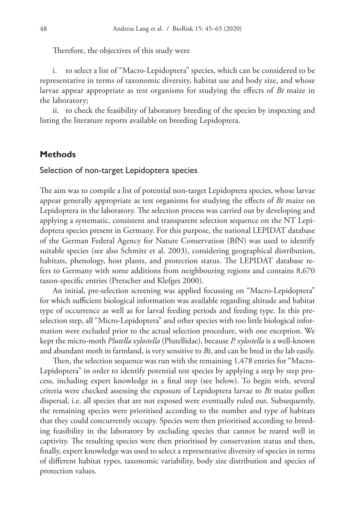Therefore, the objectives of this study were

i. to select a list of "Macro-Lepidoptera" species, which can be considered to be representative in terms of taxonomic diversity, habitat use and body size, and whose larvae appear appropriate as test organisms for studying the effects of *Bt* maize in the laboratory;

ii. to check the feasibility of laboratory breeding of the species by inspecting and listing the literature reports available on breeding Lepidoptera.

#### **Methods**

#### Selection of non-target Lepidoptera species

The aim was to compile a list of potential non-target Lepidoptera species, whose larvae appear generally appropriate as test organisms for studying the effects of *Bt* maize on Lepidoptera in the laboratory. The selection process was carried out by developing and applying a systematic, consistent and transparent selection sequence on the NT Lepidoptera species present in Germany. For this purpose, the national LEPIDAT database of the German Federal Agency for Nature Conservation (BfN) was used to identify suitable species (see also Schmitz et al. 2003), considering geographical distribution, habitats, phenology, host plants, and protection status. The LEPIDAT database refers to Germany with some additions from neighbouring regions and contains 8,670 taxon-specific entries (Pretscher and Klefges 2000).

An initial, pre-selection screening was applied focussing on "Macro-Lepidoptera" for which sufficient biological information was available regarding altitude and habitat type of occurrence as well as for larval feeding periods and feeding type. In this preselection step, all "Micro-Lepidoptera" and other species with too little biological information were excluded prior to the actual selection procedure, with one exception. We kept the micro-moth *Plutella xylostella* (Plutellidae), because *P. xylostella* is a well-known and abundant moth in farmland, is very sensitive to *Bt*, and can be bred in the lab easily.

Then, the selection sequence was run with the remaining 1,478 entries for "Macro-Lepidoptera" in order to identify potential test species by applying a step by step process, including expert knowledge in a final step (see below). To begin with, several criteria were checked assessing the exposure of Lepidoptera larvae to *Bt* maize pollen dispersal, i.e. all species that are not exposed were eventually ruled out. Subsequently, the remaining species were prioritised according to the number and type of habitats that they could concurrently occupy. Species were then prioritised according to breeding feasibility in the laboratory by excluding species that cannot be reared well in captivity. The resulting species were then prioritised by conservation status and then, finally, expert knowledge was used to select a representative diversity of species in terms of different habitat types, taxonomic variability, body size distribution and species of protection values.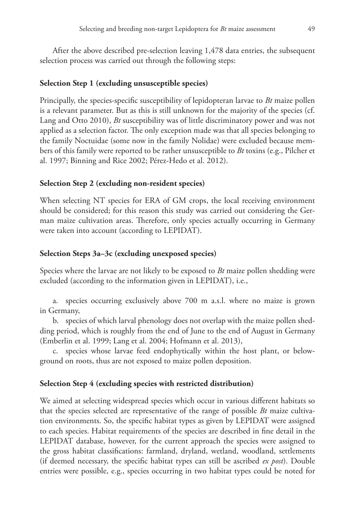After the above described pre-selection leaving 1,478 data entries, the subsequent selection process was carried out through the following steps:

#### **Selection Step 1 (excluding unsusceptible species)**

Principally, the species-specific susceptibility of lepidopteran larvae to *Bt* maize pollen is a relevant parameter. But as this is still unknown for the majority of the species (cf. Lang and Otto 2010), *Bt* susceptibility was of little discriminatory power and was not applied as a selection factor. The only exception made was that all species belonging to the family Noctuidae (some now in the family Nolidae) were excluded because members of this family were reported to be rather unsusceptible to *Bt* toxins (e.g., Pilcher et al. 1997; Binning and Rice 2002; Pérez-Hedo et al. 2012).

#### **Selection Step 2 (excluding non-resident species)**

When selecting NT species for ERA of GM crops, the local receiving environment should be considered; for this reason this study was carried out considering the German maize cultivation areas. Therefore, only species actually occurring in Germany were taken into account (according to LEPIDAT).

#### **Selection Steps 3a–3c (excluding unexposed species)**

Species where the larvae are not likely to be exposed to *Bt* maize pollen shedding were excluded (according to the information given in LEPIDAT), i.e.,

a. species occurring exclusively above 700 m a.s.l. where no maize is grown in Germany,

b. species of which larval phenology does not overlap with the maize pollen shedding period, which is roughly from the end of June to the end of August in Germany (Emberlin et al. 1999; Lang et al. 2004; Hofmann et al. 2013),

c. species whose larvae feed endophytically within the host plant, or belowground on roots, thus are not exposed to maize pollen deposition.

#### **Selection Step 4 (excluding species with restricted distribution)**

We aimed at selecting widespread species which occur in various different habitats so that the species selected are representative of the range of possible *Bt* maize cultivation environments. So, the specific habitat types as given by LEPIDAT were assigned to each species. Habitat requirements of the species are described in fine detail in the LEPIDAT database, however, for the current approach the species were assigned to the gross habitat classifications: farmland, dryland, wetland, woodland, settlements (if deemed necessary, the specific habitat types can still be ascribed *ex post*). Double entries were possible, e.g., species occurring in two habitat types could be noted for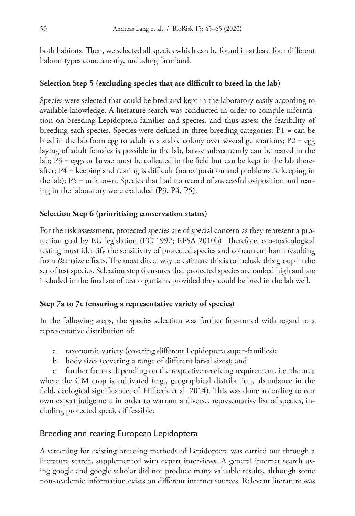both habitats. Then, we selected all species which can be found in at least four different habitat types concurrently, including farmland.

# **Selection Step 5 (excluding species that are difficult to breed in the lab)**

Species were selected that could be bred and kept in the laboratory easily according to available knowledge. A literature search was conducted in order to compile information on breeding Lepidoptera families and species, and thus assess the feasibility of breeding each species. Species were defined in three breeding categories: P1 = can be bred in the lab from egg to adult as a stable colony over several generations;  $P2 = egg$ laying of adult females is possible in the lab, larvae subsequently can be reared in the lab; P3 = eggs or larvae must be collected in the field but can be kept in the lab thereafter; P4 = keeping and rearing is difficult (no oviposition and problematic keeping in the lab); P5 = unknown. Species that had no record of successful oviposition and rearing in the laboratory were excluded (P3, P4, P5).

# **Selection Step 6 (prioritising conservation status)**

For the risk assessment, protected species are of special concern as they represent a protection goal by EU legislation (EC 1992; EFSA 2010b). Therefore, eco-toxicological testing must identify the sensitivity of protected species and concurrent harm resulting from *Bt* maize effects. The most direct way to estimate this is to include this group in the set of test species. Selection step 6 ensures that protected species are ranked high and are included in the final set of test organisms provided they could be bred in the lab well.

# **Step 7a to 7c (ensuring a representative variety of species)**

In the following steps, the species selection was further fine-tuned with regard to a representative distribution of:

- a. taxonomic variety (covering different Lepidoptera super-families);
- b. body sizes (covering a range of different larval sizes); and

c. further factors depending on the respective receiving requirement, i.e. the area where the GM crop is cultivated (e.g., geographical distribution, abundance in the field, ecological significance; cf. Hilbeck et al. 2014). This was done according to our own expert judgement in order to warrant a diverse, representative list of species, including protected species if feasible.

# Breeding and rearing European Lepidoptera

A screening for existing breeding methods of Lepidoptera was carried out through a literature search, supplemented with expert interviews. A general internet search using google and google scholar did not produce many valuable results, although some non-academic information exists on different internet sources. Relevant literature was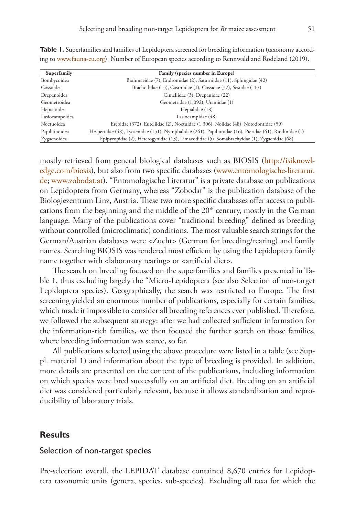| Superfamily    | Family (species number in Europe)                                                                       |  |
|----------------|---------------------------------------------------------------------------------------------------------|--|
| Bombycoidea    | Brahmaeidae (7), Endromidae (2), Saturniidae (11), Sphingidae (42)                                      |  |
| Cossoidea      | Brachodidae (15), Castniidae (1), Cossidae (37), Sesiidae (117)                                         |  |
| Drepanoidea    | Cimeliidae (3), Drepanidae (22)                                                                         |  |
| Geometroidea   | Geometridae (1,092), Uraniidae (1)                                                                      |  |
| Hepialoidea    | Hepialidae (18)                                                                                         |  |
| Lasiocampoidea | Lasiocampidae (48)                                                                                      |  |
| Noctuoidea     | Erebidae (372), Euteliidae (2), Noctuidae (1,306), Nolidae (48), Notodontidae (59)                      |  |
| Papilionoidea  | Hesperiidae (48), Lycaenidae (151), Nymphalidae (261), Papilionidae (16), Pieridae (61), Riodinidae (1) |  |
| Zygaenoidea    | Epipyropidae (2), Heterogynidae (13), Limacodidae (5), Somabrachyidae (1), Zygaenidae (68)              |  |

**Table 1.** Superfamilies and families of Lepidoptera screened for breeding information (taxonomy according to www.fauna-eu.org). Number of European species according to Rennwald and Rodeland (2019).

mostly retrieved from general biological databases such as BIOSIS [\(http://isiknowl](http://isiknowledge.com/biosis)[edge.com/biosis](http://isiknowledge.com/biosis)), but also from two specific databases (www.entomologische-literatur. de; www.zobodat.at). "Entomologische Literatur" is a private database on publications on Lepidoptera from Germany, whereas "Zobodat" is the publication database of the Biologiezentrum Linz, Austria. These two more specific databases offer access to publications from the beginning and the middle of the  $20<sup>th</sup>$  century, mostly in the German language. Many of the publications cover "traditional breeding" defined as breeding without controlled (microclimatic) conditions. The most valuable search strings for the German/Austrian databases were <Zucht> (German for breeding/rearing) and family names. Searching BIOSIS was rendered most efficient by using the Lepidoptera family name together with <laboratory rearing> or <artificial diet>.

The search on breeding focused on the superfamilies and families presented in Table 1, thus excluding largely the "Micro-Lepidoptera (see also Selection of non-target Lepidoptera species). Geographically, the search was restricted to Europe. The first screening yielded an enormous number of publications, especially for certain families, which made it impossible to consider all breeding references ever published. Therefore, we followed the subsequent strategy: after we had collected sufficient information for the information-rich families, we then focused the further search on those families, where breeding information was scarce, so far.

All publications selected using the above procedure were listed in a table (see Suppl. material 1) and information about the type of breeding is provided. In addition, more details are presented on the content of the publications, including information on which species were bred successfully on an artificial diet. Breeding on an artificial diet was considered particularly relevant, because it allows standardization and reproducibility of laboratory trials.

### **Results**

### Selection of non-target species

Pre-selection: overall, the LEPIDAT database contained 8,670 entries for Lepidoptera taxonomic units (genera, species, sub-species). Excluding all taxa for which the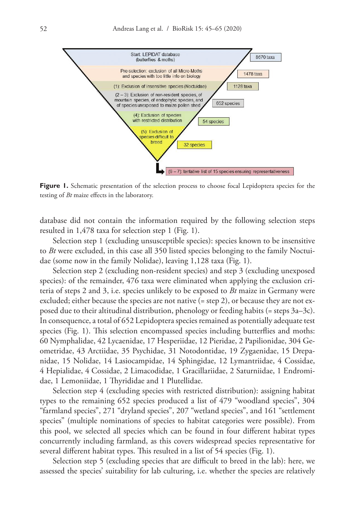

Figure 1. Schematic presentation of the selection process to choose focal Lepidoptera species for the testing of *Bt* maize effects in the laboratory.

database did not contain the information required by the following selection steps resulted in 1,478 taxa for selection step 1 (Fig. 1).

Selection step 1 (excluding unsusceptible species): species known to be insensitive to *Bt* were excluded, in this case all 350 listed species belonging to the family Noctuidae (some now in the family Nolidae), leaving 1,128 taxa (Fig. 1).

Selection step 2 (excluding non-resident species) and step 3 (excluding unexposed species): of the remainder, 476 taxa were eliminated when applying the exclusion criteria of steps 2 and 3, i.e. species unlikely to be exposed to *Bt* maize in Germany were excluded; either because the species are not native (= step 2), or because they are not exposed due to their altitudinal distribution, phenology or feeding habits (= steps 3a–3c). In consequence, a total of 652 Lepidoptera species remained as potentially adequate test species (Fig. 1). This selection encompassed species including butterflies and moths: 60 Nymphalidae, 42 Lycaenidae, 17 Hesperiidae, 12 Pieridae, 2 Papilionidae, 304 Geometridae, 43 Arctiidae, 35 Psychidae, 31 Notodontidae, 19 Zygaenidae, 15 Drepanidae, 15 Nolidae, 14 Lasiocampidae, 14 Sphingidae, 12 Lymantriidae, 4 Cossidae, 4 Hepialidae, 4 Cossidae, 2 Limacodidae, 1 Gracillariidae, 2 Saturniidae, 1 Endromidae, 1 Lemoniidae, 1 Thyrididae and 1 Plutellidae.

Selection step 4 (excluding species with restricted distribution): assigning habitat types to the remaining 652 species produced a list of 479 "woodland species", 304 "farmland species", 271 "dryland species", 207 "wetland species", and 161 "settlement species" (multiple nominations of species to habitat categories were possible). From this pool, we selected all species which can be found in four different habitat types concurrently including farmland, as this covers widespread species representative for several different habitat types. This resulted in a list of 54 species (Fig. 1).

Selection step 5 (excluding species that are difficult to breed in the lab): here, we assessed the species' suitability for lab culturing, i.e. whether the species are relatively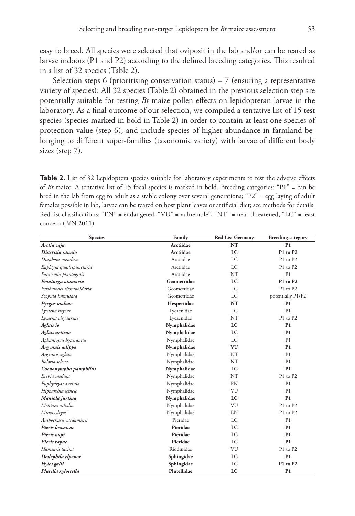easy to breed. All species were selected that oviposit in the lab and/or can be reared as larvae indoors (P1 and P2) according to the defined breeding categories. This resulted in a list of 32 species (Table 2).

Selection steps 6 (prioritising conservation status)  $-7$  (ensuring a representative variety of species): All 32 species (Table 2) obtained in the previous selection step are potentially suitable for testing *Bt* maize pollen effects on lepidopteran larvae in the laboratory. As a final outcome of our selection, we compiled a tentative list of 15 test species (species marked in bold in Table 2) in order to contain at least one species of protection value (step 6); and include species of higher abundance in farmland belonging to different super-families (taxonomic variety) with larvae of different body sizes (step 7).

**Table 2.** List of 32 Lepidoptera species suitable for laboratory experiments to test the adverse effects of *Bt* maize. A tentative list of 15 focal species is marked in bold. Breeding categories: "P1" = can be bred in the lab from egg to adult as a stable colony over several generations; "P2" = egg laying of adult females possible in lab, larvae can be reared on host plant leaves or artificial diet; see methods for details. Red list classifications: "EN" = endangered, "VU" = vulnerable", "NT" = near threatened, "LC" = least concern (BfN 2011).

| <b>Species</b>           | Family      | <b>Red List Germany</b> | <b>Breeding category</b> |
|--------------------------|-------------|-------------------------|--------------------------|
| Arctia caja              | Arctiidae   | NT                      | P <sub>1</sub>           |
| Diacrisia sannio         | Arctiidae   | LC                      | P1 to P2                 |
| Diaphora mendica         | Arctiidae   | <b>LC</b>               | P1 to P2                 |
| Euplagia quadripunctaria | Arctiidae   | <b>LC</b>               | P1 to P2                 |
| Parasemia plantaginis    | Arctiidae   | NT                      | P <sub>1</sub>           |
| Ematurga atomaria        | Geometridae | LC                      | P1 to P2                 |
| Peribatodes rhomboidaria | Geometridae | LC                      | P1 to P2                 |
| Scopula immutata         | Geometridae | <b>LC</b>               | potentially P1/P2        |
| Pyrgus malvae            | Hesperiidae | NT                      | P <sub>1</sub>           |
| Lycaena tityrus          | Lycaenidae  | <b>LC</b>               | P <sub>1</sub>           |
| Lycaena virgaureae       | Lycaenidae  | <b>NT</b>               | P1 to P2                 |
| Aglais io                | Nymphalidae | LC                      | P <sub>1</sub>           |
| Aglais urticae           | Nymphalidae | LC                      | P1                       |
| Aphantopus hyperantus    | Nymphalidae | LC                      | P1                       |
| Argynnis adippe          | Nymphalidae | VU                      | P1                       |
| Argynnis aglaja          | Nymphalidae | <b>NT</b>               | P1                       |
| Boloria selene           | Nymphalidae | <b>NT</b>               | P <sub>1</sub>           |
| Coenonympha pamphilus    | Nymphalidae | LC                      | P <sub>1</sub>           |
| Erebia medusa            | Nymphalidae | <b>NT</b>               | P1 to P2                 |
| Euphydryas aurinia       | Nymphalidae | EN                      | P <sub>1</sub>           |
| Hipparchia semele        | Nymphalidae | VU                      | P1                       |
| Maniola jurtina          | Nymphalidae | LC                      | P <sub>1</sub>           |
| Melitaea athalia         | Nymphalidae | VU                      | P1 to P2                 |
| Minois dryas             | Nymphalidae | EN                      | P1 to P2                 |
| Anthocharis cardamines   | Pieridae    | LC                      | P1                       |
| Pieris brassicae         | Pieridae    | LC                      | P <sub>1</sub>           |
| Pieris napi              | Pieridae    | LC                      | P1                       |
| Pieris rapae             | Pieridae    | LC                      | P <sub>1</sub>           |
| Hamearis lucina          | Riodinidae  | VU                      | P1 to P2                 |
| Deilephila elpenor       | Sphingidae  | LC                      | P1                       |
| Hyles galii              | Sphingidae  | LC                      | P1 to P2                 |
| Plutella xylostella      | Plutellidae | LC                      | P <sub>1</sub>           |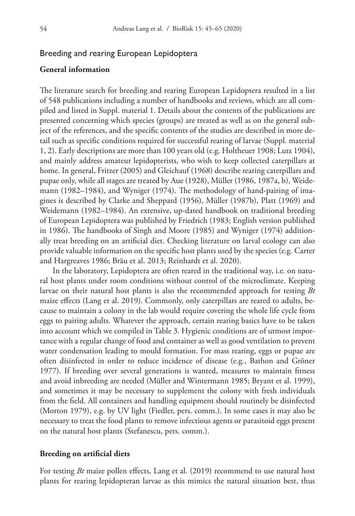### Breeding and rearing European Lepidoptera

### **General information**

The literature search for breeding and rearing European Lepidoptera resulted in a list of 548 publications including a number of handbooks and reviews, which are all compiled and listed in Suppl. material 1. Details about the contents of the publications are presented concerning which species (groups) are treated as well as on the general subject of the references, and the specific contents of the studies are described in more detail such as specific conditions required for successful rearing of larvae (Suppl. material 1, 2). Early descriptions are more than 100 years old (e.g. Holtheuer 1908; Lutz 1904), and mainly address amateur lepidopterists, who wish to keep collected caterpillars at home. In general, Fritzer (2005) and Gleichauf (1968) describe rearing caterpillars and pupae only, while all stages are treated by Aue (1928), Müller (1986, 1987a, b), Weidemann (1982–1984), and Wyniger (1974). The methodology of hand-pairing of imagines is described by Clarke and Sheppard (1956), Müller (1987b), Platt (1969) and Weidemann (1982–1984). An extensive, up-dated handbook on traditional breeding of European Lepidoptera was published by Friedrich (1983; English version published in 1986). The handbooks of Singh and Moore (1985) and Wyniger (1974) additionally treat breeding on an artificial diet. Checking literature on larval ecology can also provide valuable information on the specific host plants used by the species (e.g. Carter and Hargreaves 1986; Bräu et al. 2013; Reinhardt et al. 2020).

In the laboratory, Lepidoptera are often reared in the traditional way, i.e. on natural host plants under room conditions without control of the microclimate. Keeping larvae on their natural host plants is also the recommended approach for testing *Bt* maize effects (Lang et al. 2019). Commonly, only caterpillars are reared to adults, because to maintain a colony in the lab would require covering the whole life cycle from eggs to pairing adults. Whatever the approach, certain rearing basics have to be taken into account which we compiled in Table 3. Hygienic conditions are of utmost importance with a regular change of food and container as well as good ventilation to prevent water condensation leading to mould formation. For mass rearing, eggs or pupae are often disinfected in order to reduce incidence of disease (e.g., Bathon and Gröner 1977). If breeding over several generations is wanted, measures to maintain fitness and avoid inbreeding are needed (Müller and Wintermann 1985; Bryant et al. 1999), and sometimes it may be necessary to supplement the colony with fresh individuals from the field. All containers and handling equipment should routinely be disinfected (Morton 1979), e.g. by UV light (Fiedler, pers. comm.). In some cases it may also be necessary to treat the food plants to remove infectious agents or parasitoid eggs present on the natural host plants (Stefanescu, pers. comm.).

#### **Breeding on artificial diets**

For testing *Bt* maize pollen effects, Lang et al. (2019) recommend to use natural host plants for rearing lepidopteran larvae as this mimics the natural situation best, thus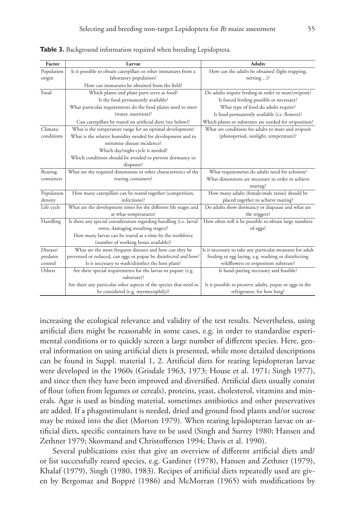| Factor     | Larvae                                                                                                   | <b>Adults</b>                                                                          |
|------------|----------------------------------------------------------------------------------------------------------|----------------------------------------------------------------------------------------|
| Population | Is it possible to obtain caterpillars or other immatures from a                                          | How can the adults be obtained (light trapping,                                        |
| origin     | laboratory population?                                                                                   | $netting$ ?                                                                            |
|            | How can immatures be obtained from the field?                                                            |                                                                                        |
| Food       | Which plants and plant parts serve as food?                                                              | Do adults require feeding in order to mate/oviposit?                                   |
|            | Is the food permanently available?                                                                       | Is forced feeding possible or necessary?                                               |
|            | What particular requirements do the food plants need to meet                                             | What type of food do adults require?                                                   |
|            | (water, nutrition)?                                                                                      | Is food permanently available (i.e. flowers)?                                          |
|            | Can caterpillars be reared on artificial diets (see below)?                                              | Which plants or substrates are needed for oviposition?                                 |
| Climatic   | What is the temperature range for an optimal development?                                                | What are conditions for adults to mate and oviposit                                    |
| conditions | What is the relative humidity needed for development and to                                              | (photoperiod, sunlight, temperature)?                                                  |
|            | minimise disease incidence?                                                                              |                                                                                        |
|            | Which day/night cycle is needed?                                                                         |                                                                                        |
|            | Which conditions should be avoided to prevent dormancy or                                                |                                                                                        |
|            | diapause?                                                                                                |                                                                                        |
| Rearing    | What are the required dimensions or other characteristics of the                                         | What requirements do adults need for eclosion?                                         |
| containers | rearing containers?                                                                                      | What dimensions are necessary in order to achieve                                      |
|            |                                                                                                          | mating?                                                                                |
| Population | How many caterpillars can be reared together (competition,                                               | How many adults (female:male ratios) should be                                         |
| density    | infections)?                                                                                             | placed together to achieve mating?                                                     |
| Life cycle | What are the development times for the different life stages and                                         | Do adults show dormancy or diapause and what are                                       |
|            | at what temperatures?                                                                                    | the triggers?                                                                          |
| Handling   | Is there any special consideration regarding handling (i.e. larval                                       | How often will it be possible to obtain large numbers                                  |
|            | stress, damaging moulting stages)?                                                                       | of eggs?                                                                               |
|            | How many larvae can be reared at a time by the workforce                                                 |                                                                                        |
|            | (number of working hours available)?                                                                     |                                                                                        |
| Disease/   | What are the most frequent diseases and how can they be                                                  | Is it necessary to take any particular measures for adult                              |
| predator   | prevented or reduced, can eggs or pupae be disinfected and how?                                          | feeding or egg laying, e.g. washing or disinfecting                                    |
| control    | Is it necessary to wash/disinfect the host plant?                                                        | wildflowers or oviposition substrate?                                                  |
| Others     | Are there special requirements for the larvae to pupate (e.g.<br>substrate)?                             | Is hand-pairing necessary and feasible?                                                |
|            |                                                                                                          |                                                                                        |
|            | Are there any particular other aspects of the species that need to<br>be considered (e.g. myrmecophily)? | Is it possible to preserve adults, pupae or eggs in the<br>refrigerator, for how long? |
|            |                                                                                                          |                                                                                        |

**Table 3.** Background information required when breeding Lepidoptera.

increasing the ecological relevance and validity of the test results. Nevertheless, using artificial diets might be reasonable in some cases, e.g. in order to standardise experimental conditions or to quickly screen a large number of different species. Here, general information on using artificial diets is presented, while more detailed descriptions can be found in Suppl. material 1, 2. Artificial diets for rearing lepidopteran larvae were developed in the 1960s (Grisdale 1963, 1973; House et al. 1971; Singh 1977), and since then they have been improved and diversified. Artificial diets usually consist of flour (often from legumes or cereals), proteins, yeast, cholesterol, vitamins and minerals. Agar is used as binding material, sometimes antibiotics and other preservatives are added. If a phagostimulant is needed, dried and ground food plants and/or sucrose may be mixed into the diet (Morton 1979). When rearing lepidopteran larvae on artificial diets, specific containers have to be used (Singh and Surrey 1980; Hansen and Zethner 1979; Skovmand and Christoffersen 1994; Davis et al. 1990).

Several publications exist that give an overview of different artificial diets and/ or list successfully reared species, e.g. Gardiner (1978), Hansen and Zethner (1979), Khalaf (1979), Singh (1980, 1983). Recipes of artificial diets repeatedly used are given by Bergomaz and Boppré (1986) and McMorran (1965) with modifications by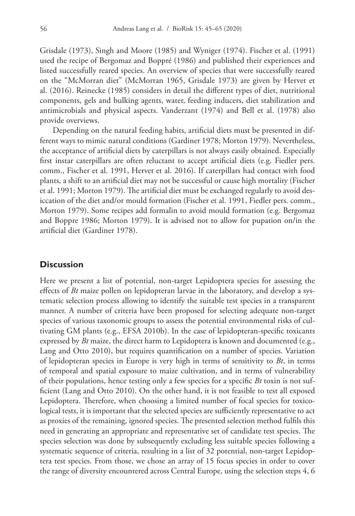Grisdale (1973), Singh and Moore (1985) and Wyniger (1974). Fischer et al. (1991) used the recipe of Bergomaz and Boppré (1986) and published their experiences and listed successfully reared species. An overview of species that were successfully reared on the "McMorran diet" (McMorran 1965, Grisdale 1973) are given by Hervet et al. (2016). Reinecke (1985) considers in detail the different types of diet, nutritional components, gels and bulking agents, water, feeding inducers, diet stabilization and antimicrobials and physical aspects. Vanderzant (1974) and Bell et al. (1978) also provide overviews.

Depending on the natural feeding habits, artificial diets must be presented in different ways to mimic natural conditions (Gardiner 1978; Morton 1979). Nevertheless, the acceptance of artificial diets by caterpillars is not always easily obtained. Especially first instar caterpillars are often reluctant to accept artificial diets (e.g. Fiedler pers. comm., Fischer et al. 1991, Hervet et al. 2016). If caterpillars had contact with food plants, a shift to an artificial diet may not be successful or cause high mortality (Fischer et al. 1991; Morton 1979). The artificial diet must be exchanged regularly to avoid desiccation of the diet and/or mould formation (Fischer et al. 1991, Fiedler pers. comm., Morton 1979). Some recipes add formalin to avoid mould formation (e.g. Bergomaz and Boppre 1986; Morton 1979). It is advised not to allow for pupation on/in the artificial diet (Gardiner 1978).

### **Discussion**

Here we present a list of potential, non-target Lepidoptera species for assessing the effects of *Bt* maize pollen on lepidopteran larvae in the laboratory, and develop a systematic selection process allowing to identify the suitable test species in a transparent manner. A number of criteria have been proposed for selecting adequate non-target species of various taxonomic groups to assess the potential environmental risks of cultivating GM plants (e.g., EFSA 2010b). In the case of lepidopteran-specific toxicants expressed by *Bt* maize, the direct harm to Lepidoptera is known and documented (e.g., Lang and Otto 2010), but requires quantification on a number of species. Variation of lepidopteran species in Europe is very high in terms of sensitivity to *Bt*, in terms of temporal and spatial exposure to maize cultivation, and in terms of vulnerability of their populations, hence testing only a few species for a specific *Bt* toxin is not sufficient (Lang and Otto 2010). On the other hand, it is not feasible to test all exposed Lepidoptera. Therefore, when choosing a limited number of focal species for toxicological tests, it is important that the selected species are sufficiently representative to act as proxies of the remaining, ignored species. The presented selection method fulfils this need in generating an appropriate and representative set of candidate test species. The species selection was done by subsequently excluding less suitable species following a systematic sequence of criteria, resulting in a list of 32 potential, non-target Lepidoptera test species. From those, we chose an array of 15 focus species in order to cover the range of diversity encountered across Central Europe, using the selection steps 4, 6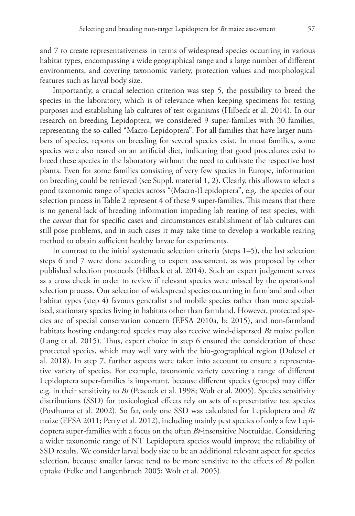and 7 to create representativeness in terms of widespread species occurring in various habitat types, encompassing a wide geographical range and a large number of different environments, and covering taxonomic variety, protection values and morphological features such as larval body size.

Importantly, a crucial selection criterion was step 5, the possibility to breed the species in the laboratory, which is of relevance when keeping specimens for testing purposes and establishing lab cultures of test organisms (Hilbeck et al. 2014). In our research on breeding Lepidoptera, we considered 9 super-families with 30 families, representing the so-called "Macro-Lepidoptera". For all families that have larger numbers of species, reports on breeding for several species exist. In most families, some species were also reared on an artificial diet, indicating that good procedures exist to breed these species in the laboratory without the need to cultivate the respective host plants. Even for some families consisting of very few species in Europe, information on breeding could be retrieved (see Suppl. material 1, 2). Clearly, this allows to select a good taxonomic range of species across "(Macro-)Lepidoptera", e.g. the species of our selection process in Table 2 represent 4 of these 9 super-families. This means that there is no general lack of breeding information impeding lab rearing of test species, with the *caveat* that for specific cases and circumstances establishment of lab cultures can still pose problems, and in such cases it may take time to develop a workable rearing method to obtain sufficient healthy larvae for experiments.

In contrast to the initial systematic selection criteria (steps 1–5), the last selection steps 6 and 7 were done according to expert assessment, as was proposed by other published selection protocols (Hilbeck et al. 2014). Such an expert judgement serves as a cross check in order to review if relevant species were missed by the operational selection process. Our selection of widespread species occurring in farmland and other habitat types (step 4) favours generalist and mobile species rather than more specialised, stationary species living in habitats other than farmland. However, protected species are of special conservation concern (EFSA 2010a, b; 2015), and non-farmland habitats hosting endangered species may also receive wind-dispersed *Bt* maize pollen (Lang et al. 2015). Thus, expert choice in step 6 ensured the consideration of these protected species, which may well vary with the bio-geographical region (Dolezel et al. 2018). In step 7, further aspects were taken into account to ensure a representative variety of species. For example, taxonomic variety covering a range of different Lepidoptera super-families is important, because different species (groups) may differ e.g. in their sensitivity to *Bt* (Peacock et al. 1998; Wolt et al. 2005). Species sensitivity distributions (SSD) for toxicological effects rely on sets of representative test species (Posthuma et al. 2002). So far, only one SSD was calculated for Lepidoptera and *Bt* maize (EFSA 2011; Perry et al. 2012), including mainly pest species of only a few Lepidoptera super-families with a focus on the often *Bt*-insensitive Noctuidae. Considering a wider taxonomic range of NT Lepidoptera species would improve the reliability of SSD results. We consider larval body size to be an additional relevant aspect for species selection, because smaller larvae tend to be more sensitive to the effects of *Bt* pollen uptake (Felke and Langenbruch 2005; Wolt et al. 2005).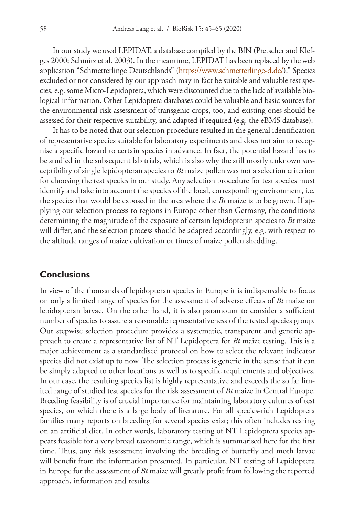In our study we used LEPIDAT, a database compiled by the BfN (Pretscher and Klefges 2000; Schmitz et al. 2003). In the meantime, LEPIDAT has been replaced by the web application "Schmetterlinge Deutschlands" ([https://www.schmetterlinge-d.de/\)."](https://www.schmetterlinge-d.de/).%E2%80%9D) Species excluded or not considered by our approach may in fact be suitable and valuable test species, e.g. some Micro-Lepidoptera, which were discounted due to the lack of available biological information. Other Lepidoptera databases could be valuable and basic sources for the environmental risk assessment of transgenic crops, too, and existing ones should be assessed for their respective suitability, and adapted if required (e.g. the eBMS database).

It has to be noted that our selection procedure resulted in the general identification of representative species suitable for laboratory experiments and does not aim to recognise a specific hazard to certain species in advance. In fact, the potential hazard has to be studied in the subsequent lab trials, which is also why the still mostly unknown susceptibility of single lepidopteran species to *Bt* maize pollen was not a selection criterion for choosing the test species in our study. Any selection procedure for test species must identify and take into account the species of the local, corresponding environment, i.e. the species that would be exposed in the area where the *Bt* maize is to be grown. If applying our selection process to regions in Europe other than Germany, the conditions determining the magnitude of the exposure of certain lepidopteran species to *Bt* maize will differ, and the selection process should be adapted accordingly, e.g. with respect to the altitude ranges of maize cultivation or times of maize pollen shedding.

### **Conclusions**

In view of the thousands of lepidopteran species in Europe it is indispensable to focus on only a limited range of species for the assessment of adverse effects of *Bt* maize on lepidopteran larvae. On the other hand, it is also paramount to consider a sufficient number of species to assure a reasonable representativeness of the tested species group. Our stepwise selection procedure provides a systematic, transparent and generic approach to create a representative list of NT Lepidoptera for *Bt* maize testing. This is a major achievement as a standardised protocol on how to select the relevant indicator species did not exist up to now. The selection process is generic in the sense that it can be simply adapted to other locations as well as to specific requirements and objectives. In our case, the resulting species list is highly representative and exceeds the so far limited range of studied test species for the risk assessment of *Bt* maize in Central Europe. Breeding feasibility is of crucial importance for maintaining laboratory cultures of test species, on which there is a large body of literature. For all species-rich Lepidoptera families many reports on breeding for several species exist; this often includes rearing on an artificial diet. In other words, laboratory testing of NT Lepidoptera species appears feasible for a very broad taxonomic range, which is summarised here for the first time. Thus, any risk assessment involving the breeding of butterfly and moth larvae will benefit from the information presented. In particular, NT testing of Lepidoptera in Europe for the assessment of *Bt* maize will greatly profit from following the reported approach, information and results.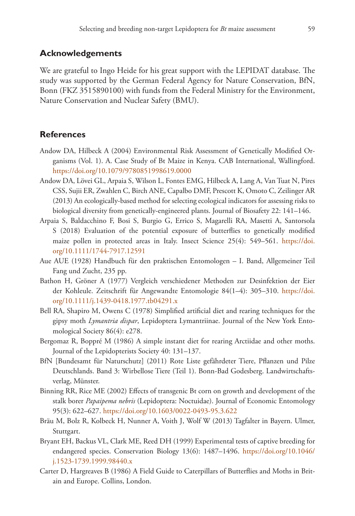### **Acknowledgements**

We are grateful to Ingo Heide for his great support with the LEPIDAT database. The study was supported by the German Federal Agency for Nature Conservation, BfN, Bonn (FKZ 3515890100) with funds from the Federal Ministry for the Environment, Nature Conservation and Nuclear Safety (BMU).

### **References**

- Andow DA, Hilbeck A (2004) Environmental Risk Assessment of Genetically Modified Organisms (Vol. 1). A. Case Study of Bt Maize in Kenya. CAB International, Wallingford. <https://doi.org/10.1079/9780851998619.0000>
- Andow DA, Lövei GL, Arpaia S, Wilson L, Fontes EMG, Hilbeck A, Lang A, Van Tuat N, Pires CSS, Sujii ER, Zwahlen C, Birch ANE, Capalbo DMF, Prescott K, Omoto C, Zeilinger AR (2013) An ecologically-based method for selecting ecological indicators for assessing risks to biological diversity from genetically-engineered plants. Journal of Biosafety 22: 141–146.
- Arpaia S, Baldacchino F, Bosi S, Burgio G, Errico S, Magarelli RA, Masetti A, Santorsola S (2018) Evaluation of the potential exposure of butterflies to genetically modified maize pollen in protected areas in Italy. Insect Science 25(4): 549–561. [https://doi.](https://doi.org/10.1111/1744-7917.12591) [org/10.1111/1744-7917.12591](https://doi.org/10.1111/1744-7917.12591)
- Aue AUE (1928) Handbuch für den praktischen Entomologen I. Band, Allgemeiner Teil Fang und Zucht, 235 pp.
- Bathon H, Gröner A (1977) Vergleich verschiedener Methoden zur Desinfektion der Eier der Kohleule. Zeitschrift für Angewandte Entomologie 84(1–4): 305–310. [https://doi.](https://doi.org/10.1111/j.1439-0418.1977.tb04291.x) [org/10.1111/j.1439-0418.1977.tb04291.x](https://doi.org/10.1111/j.1439-0418.1977.tb04291.x)
- Bell RA, Shapiro M, Owens C (1978) Simplified artificial diet and rearing techniques for the gipsy moth *Lymantria dispar*, Lepidoptera Lymantriinae. Journal of the New York Entomological Society 86(4): e278.
- Bergomaz R, Boppré M (1986) A simple instant diet for rearing Arctiidae and other moths. Journal of the Lepidopterists Society 40: 131–137.
- BfN [Bundesamt für Naturschutz] (2011) Rote Liste gefährdeter Tiere, Pflanzen und Pilze Deutschlands. Band 3: Wirbellose Tiere (Teil 1). Bonn-Bad Godesberg. Landwirtschaftsverlag, Münster.
- Binning RR, Rice ME (2002) Effects of transgenic Bt corn on growth and development of the stalk borer *Papaipema nebris* (Lepidoptera: Noctuidae). Journal of Economic Entomology 95(3): 622–627. <https://doi.org/10.1603/0022-0493-95.3.622>
- Bräu M, Bolz R, Kolbeck H, Nunner A, Voith J, Wolf W (2013) Tagfalter in Bayern. Ulmer, Stuttgart.
- Bryant EH, Backus VL, Clark ME, Reed DH (1999) Experimental tests of captive breeding for endangered species. Conservation Biology 13(6): 1487–1496. [https://doi.org/10.1046/](https://doi.org/10.1046/j.1523-1739.1999.98440.x) [j.1523-1739.1999.98440.x](https://doi.org/10.1046/j.1523-1739.1999.98440.x)
- Carter D, Hargreaves B (1986) A Field Guide to Caterpillars of Butterflies and Moths in Britain and Europe. Collins, London.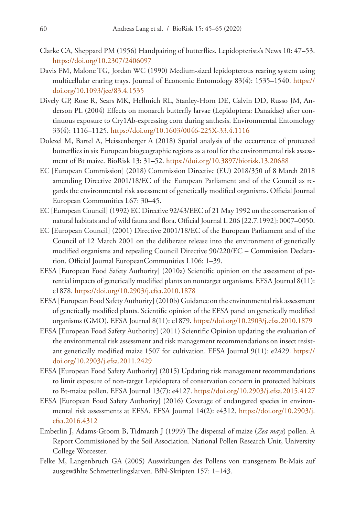- Clarke CA, Sheppard PM (1956) Handpairing of butterflies. Lepidopterists's News 10: 47–53. <https://doi.org/10.2307/2406097>
- Davis FM, Malone TG, Jordan WC (1990) Medium-sized lepidopterous rearing system using multicellular eraring trays. Journal of Economic Entomology 83(4): 1535–1540. [https://](https://doi.org/10.1093/jee/83.4.1535) [doi.org/10.1093/jee/83.4.1535](https://doi.org/10.1093/jee/83.4.1535)
- Dively GP, Rose R, Sears MK, Hellmich RL, Stanley-Horn DE, Calvin DD, Russo JM, Anderson PL (2004) Effects on monarch butterfly larvae (Lepidoptera: Danaidae) after continuous exposure to Cry1Ab-expressing corn during anthesis. Environmental Entomology 33(4): 1116–1125. <https://doi.org/10.1603/0046-225X-33.4.1116>
- Dolezel M, Bartel A, Heissenberger A (2018) Spatial analysis of the occurrence of protected butterflies in six European biogeographic regions as a tool for the environmental risk assessment of Bt maize. BioRisk 13: 31–52.<https://doi.org/10.3897/biorisk.13.20688>
- EC [European Commission] (2018) Commission Directive (EU) 2018/350 of 8 March 2018 amending Directive 2001/18/EC of the European Parliament and of the Council as regards the environmental risk assessment of genetically modified organisms. Official Journal European Communities L67: 30–45.
- EC [European Council] (1992) EC Directive 92/43/EEC of 21 May 1992 on the conservation of natural habitats and of wild fauna and flora. Official Journal L 206 [22.7.1992]: 0007–0050.
- EC [European Council] (2001) Directive 2001/18/EC of the European Parliament and of the Council of 12 March 2001 on the deliberate release into the environment of genetically modified organisms and repealing Council Directive 90/220/EC – Commission Declaration. Official Journal EuropeanCommunities L106: 1–39.
- EFSA [European Food Safety Authority] (2010a) Scientific opinion on the assessment of potential impacts of genetically modified plants on nontarget organisms. EFSA Journal 8(11): e1878.<https://doi.org/10.2903/j.efsa.2010.1878>
- EFSA [European Food Safety Authority] (2010b) Guidance on the environmental risk assessment of genetically modified plants. Scientific opinion of the EFSA panel on genetically modified organisms (GMO). EFSA Journal 8(11): e1879.<https://doi.org/10.2903/j.efsa.2010.1879>
- EFSA [European Food Safety Authority] (2011) Scientific Opinion updating the evaluation of the environmental risk assessment and risk management recommendations on insect resistant genetically modified maize 1507 for cultivation. EFSA Journal 9(11): e2429. [https://](https://doi.org/10.2903/j.efsa.2011.2429) [doi.org/10.2903/j.efsa.2011.2429](https://doi.org/10.2903/j.efsa.2011.2429)
- EFSA [European Food Safety Authority] (2015) Updating risk management recommendations to limit exposure of non-target Lepidoptera of conservation concern in protected habitats to Bt-maize pollen. EFSA Journal 13(7): e4127. <https://doi.org/10.2903/j.efsa.2015.4127>
- EFSA [European Food Safety Authority] (2016) Coverage of endangered species in environmental risk assessments at EFSA. EFSA Journal 14(2): e4312. [https://doi.org/10.2903/j.](https://doi.org/10.2903/j.efsa.2016.4312) [efsa.2016.4312](https://doi.org/10.2903/j.efsa.2016.4312)
- Emberlin J, Adams-Groom B, Tidmarsh J (1999) The dispersal of maize (*Zea mays*) pollen. A Report Commissioned by the Soil Association. National Pollen Research Unit, University College Worcester.
- Felke M, Langenbruch GA (2005) Auswirkungen des Pollens von transgenem Bt-Mais auf ausgewählte Schmetterlingslarven. BfN-Skripten 157: 1–143.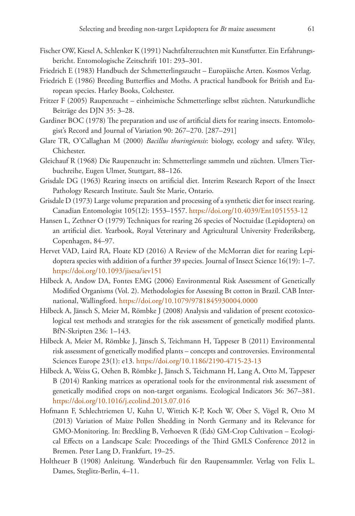- Fischer OW, Kiesel A, Schlenker K (1991) Nachtfalterzuchten mit Kunstfutter. Ein Erfahrungsbericht. Entomologische Zeitschrift 101: 293–301.
- Friedrich E (1983) Handbuch der Schmetterlingszucht Europäische Arten. Kosmos Verlag.
- Friedrich E (1986) Breeding Butterflies and Moths. A practical handbook for British and European species. Harley Books, Colchester.
- Fritzer F (2005) Raupenzucht einheimische Schmetterlinge selbst züchten. Naturkundliche Beiträge des DJN 35: 3–28.
- Gardiner BOC (1978) The preparation and use of artificial diets for rearing insects. Entomologist's Record and Journal of Variation 90: 267–270. [287–291]
- Glare TR, O'Callaghan M (2000) *Bacillus thuringiensis*: biology, ecology and safety. Wiley, Chichester.
- Gleichauf R (1968) Die Raupenzucht in: Schmetterlinge sammeln und züchten. Ulmers Tierbuchreihe, Eugen Ulmer, Stuttgart, 88–126.
- Grisdale DG (1963) Rearing insects on artificial diet. Interim Research Report of the Insect Pathology Research Institute. Sault Ste Marie, Ontario.
- Grisdale D (1973) Large volume preparation and processing of a synthetic diet for insect rearing. Canadian Entomologist 105(12): 1553–1557.<https://doi.org/10.4039/Ent1051553-12>
- Hansen L, Zethner O (1979) Techniques for rearing 26 species of Noctuidae (Lepidoptera) on an artificial diet. Yearbook, Royal Veterinary and Agricultural University Frederiksberg, Copenhagen, 84–97.
- Hervet VAD, Laird RA, Floate KD (2016) A Review of the McMorran diet for rearing Lepidoptera species with addition of a further 39 species. Journal of Insect Science 16(19): 1–7. <https://doi.org/10.1093/jisesa/iev151>
- Hilbeck A, Andow DA, Fontes EMG (2006) Environmental Risk Assessment of Genetically Modified Organisms (Vol. 2). Methodologies for Assessing Bt cotton in Brazil. CAB International, Wallingford. <https://doi.org/10.1079/9781845930004.0000>
- Hilbeck A, Jänsch S, Meier M, Römbke J (2008) Analysis and validation of present ecotoxicological test methods and strategies for the risk assessment of genetically modified plants. BfN-Skripten 236: 1–143.
- Hilbeck A, Meier M, Römbke J, Jänsch S, Teichmann H, Tappeser B (2011) Environmental risk assessment of genetically modified plants – concepts and controversies. Environmental Sciences Europe 23(1): e13. <https://doi.org/10.1186/2190-4715-23-13>
- Hilbeck A, Weiss G, Oehen B, Römbke J, Jänsch S, Teichmann H, Lang A, Otto M, Tappeser B (2014) Ranking matrices as operational tools for the environmental risk assessment of genetically modified crops on non-target organisms. Ecological Indicators 36: 367–381. <https://doi.org/10.1016/j.ecolind.2013.07.016>
- Hofmann F, Schlechtriemen U, Kuhn U, Wittich K-P, Koch W, Ober S, Vögel R, Otto M (2013) Variation of Maize Pollen Shedding in North Germany and its Relevance for GMO-Monitoring. In: Breckling B, Verhoeven R (Eds) GM-Crop Cultivation – Ecological Effects on a Landscape Scale: Proceedings of the Third GMLS Conference 2012 in Bremen. Peter Lang D, Frankfurt, 19–25.
- Holtheuer B (1908) Anleitung. Wanderbuch für den Raupensammler. Verlag von Felix L. Dames, Steglitz-Berlin, 4–11.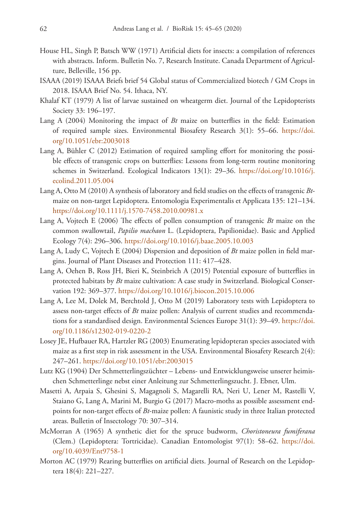- House HL, Singh P, Batsch WW (1971) Artificial diets for insects: a compilation of references with abstracts. Inform. Bulletin No. 7, Research Institute. Canada Department of Agriculture, Belleville, 156 pp.
- ISAAA (2019) ISAAA Briefs brief 54 Global status of Commercialized biotech / GM Crops in 2018. ISAAA Brief No. 54. Ithaca, NY.
- Khalaf KT (1979) A list of larvae sustained on wheatgerm diet. Journal of the Lepidopterists Society 33: 196–197.
- Lang A (2004) Monitoring the impact of *Bt* maize on butterflies in the field: Estimation of required sample sizes. Environmental Biosafety Research 3(1): 55–66. [https://doi.](https://doi.org/10.1051/ebr:2003018) [org/10.1051/ebr:2003018](https://doi.org/10.1051/ebr:2003018)
- Lang A, Bühler C (2012) Estimation of required sampling effort for monitoring the possible effects of transgenic crops on butterflies: Lessons from long-term routine monitoring schemes in Switzerland. Ecological Indicators 13(1): 29–36. [https://doi.org/10.1016/j.](https://doi.org/10.1016/j.ecolind.2011.05.004) [ecolind.2011.05.004](https://doi.org/10.1016/j.ecolind.2011.05.004)
- Lang A, Otto M (2010) A synthesis of laboratory and field studies on the effects of transgenic *Bt*maize on non-target Lepidoptera. Entomologia Experimentalis et Applicata 135: 121–134. <https://doi.org/10.1111/j.1570-7458.2010.00981.x>
- Lang A, Vojtech E (2006) The effects of pollen consumption of transgenic *Bt* maize on the common swallowtail, *Papilio machaon* L. (Lepidoptera, Papilionidae). Basic and Applied Ecology 7(4): 296–306.<https://doi.org/10.1016/j.baae.2005.10.003>
- Lang A, Ludy C, Vojtech E (2004) Dispersion and deposition of *Bt* maize pollen in field margins. Journal of Plant Diseases and Protection 111: 417–428.
- Lang A, Oehen B, Ross JH, Bieri K, Steinbrich A (2015) Potential exposure of butterflies in protected habitats by *Bt* maize cultivation: A case study in Switzerland. Biological Conservation 192: 369–377. <https://doi.org/10.1016/j.biocon.2015.10.006>
- Lang A, Lee M, Dolek M, Berchtold J, Otto M (2019) Laboratory tests with Lepidoptera to assess non-target effects of *Bt* maize pollen: Analysis of current studies and recommendations for a standardised design. Environmental Sciences Europe 31(1): 39–49. [https://doi.](https://doi.org/10.1186/s12302-019-0220-2) [org/10.1186/s12302-019-0220-2](https://doi.org/10.1186/s12302-019-0220-2)
- Losey JE, Hufbauer RA, Hartzler RG (2003) Enumerating lepidopteran species associated with maize as a first step in risk assessment in the USA. Environmental Biosafety Research 2(4): 247–261.<https://doi.org/10.1051/ebr:2003015>
- Lutz KG (1904) Der Schmetterlingszüchter Lebens- und Entwicklungsweise unserer heimischen Schmetterlinge nebst einer Anleitung zur Schmetterlingszucht. J. Ebner, Ulm.
- Masetti A, Arpaia S, Ghesini S, Magagnoli S, Magarelli RA, Neri U, Lener M, Rastelli V, Staiano G, Lang A, Marini M, Burgio G (2017) Macro-moths as possible assessment endpoints for non-target effects of *Bt*-maize pollen: A faunistic study in three Italian protected areas. Bulletin of Insectology 70: 307–314.
- McMorran A (1965) A synthetic diet for the spruce budworm, *Choristoneura fumiferana* (Clem.) (Lepidoptera: Tortricidae). Canadian Entomologist 97(1): 58–62. [https://doi.](https://doi.org/10.4039/Ent9758-1) [org/10.4039/Ent9758-1](https://doi.org/10.4039/Ent9758-1)
- Morton AC (1979) Rearing butterflies on artificial diets. Journal of Research on the Lepidoptera 18(4): 221–227.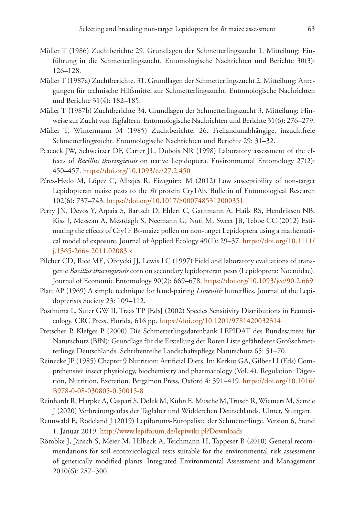- Müller T (1986) Zuchtberichte 29. Grundlagen der Schmetterlingszucht 1. Mitteilung: Einführung in die Schmetterlingszucht. Entomologische Nachrichten und Berichte 30(3): 126–128.
- Müller T (1987a) Zuchtberichte. 31. Grundlagen der Schmetterlingszucht 2. Mitteilung: Anregungen für technische Hilfsmittel zur Schmetterlingszucht. Entomologische Nachrichten und Berichte 31(4): 182–185.
- Müller T (1987b) Zuchtberichte 34. Grundlagen der Schmetterlingszucht 3. Mitteilung: Hinweise zur Zucht von Tagfaltern. Entomologische Nachrichten und Berichte 31(6): 276–279.
- Müller T, Wintermann M (1985) Zuchtberichte. 26. Freilandunabhängige, inzuchtfreie Schmetterlingszucht. Entomologische Nachrichten und Berichte 29: 31–32.
- Peacock JW, Schweitzer DF, Carter JL, Dubois NR (1998) Laboratory assessment of the effects of *Bacillus thuringiensis* on native Lepidoptera. Environmental Entomology 27(2): 450–457.<https://doi.org/10.1093/ee/27.2.450>
- Pérez-Hedo M, López C, Albajes R, Eizaguirre M (2012) Low susceptibility of non-target Lepidopteran maize pests to the *Bt* protein Cry1Ab. Bulletin of Entomological Research 102(6): 737–743. <https://doi.org/10.1017/S0007485312000351>
- Perry JN, Devos Y, Arpaia S, Bartsch D, Ehlert C, Gathmann A, Hails RS, Hendriksen NB, Kiss J, Messean A, Mestdagh S, Neemann G, Nuti M, Sweet JB, Tebbe CC (2012) Estimating the effects of Cry1F Bt-maize pollen on non-target Lepidoptera using a mathematical model of exposure. Journal of Applied Ecology 49(1): 29–37. [https://doi.org/10.1111/](https://doi.org/10.1111/j.1365-2664.2011.02083.x) [j.1365-2664.2011.02083.x](https://doi.org/10.1111/j.1365-2664.2011.02083.x)
- Pilcher CD, Rice ME, Obrycki JJ, Lewis LC (1997) Field and laboratory evaluations of transgenic *Bacillus thuringiensis* corn on secondary lepidopteran pests (Lepidoptera: Noctuidae). Journal of Economic Entomology 90(2): 669–678. <https://doi.org/10.1093/jee/90.2.669>
- Platt AP (1969) A simple technique for hand-pairing *Limenitis* butterflies. Journal of the Lepidopterists Society 23: 109–112.
- Posthuma L, Suter GW II, Traas TP [Eds] (2002) Species Sensitivity Distributions in Ecotoxicology. CRC Press, Florida, 616 pp. <https://doi.org/10.1201/9781420032314>
- Pretscher P, Klefges P (2000) Die Schmetterlingsdatenbank LEPIDAT des Bundesamtes für Naturschutz (BfN): Grundlage für die Erstellung der Roten Liste gefährdeter Großschmetterlinge Deutschlands. Schriftenreihe Landschaftspflege Naturschutz 65: 51–70.
- Reinecke JP (1985) Chapter 9 Nutrition: Artificial Diets. In: Kerkut GA, Gilber LI (Eds) Comprehensive insect physiology, biochemistry and pharmacology (Vol. 4). Regulation: Digestion, Nutrition, Excretion. Pergamon Press, Oxford 4: 391–419. [https://doi.org/10.1016/](https://doi.org/10.1016/B978-0-08-030805-0.50015-8) [B978-0-08-030805-0.50015-8](https://doi.org/10.1016/B978-0-08-030805-0.50015-8)
- Reinhardt R, Harpke A, Caspari S, Dolek M, Kühn E, Musche M, Trusch R, Wiemers M, Settele J (2020) Verbreitungsatlas der Tagfalter und Widderchen Deutschlands. Ulmer, Stuttgart.
- Rennwald E, Rodeland J (2019) Lepiforums-Europaliste der Schmetterlinge. Version 6, Stand 1. Januar 2019. <http://www.lepiforum.de/lepiwiki.pl?Downloads>
- Römbke J, Jänsch S, Meier M, Hilbeck A, Teichmann H, Tappeser B (2010) General recommendations for soil ecotoxicological tests suitable for the environmental risk assessment of genetically modified plants. Integrated Environmental Assessment and Management 2010(6): 287–300.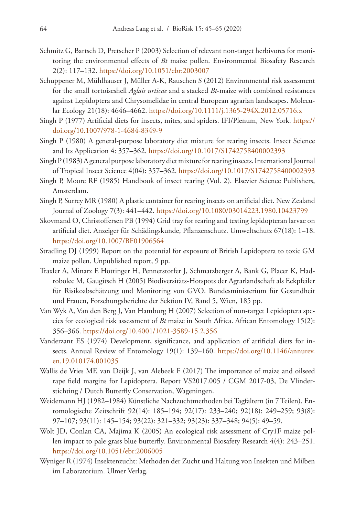- Schmitz G, Bartsch D, Pretscher P (2003) Selection of relevant non-target herbivores for monitoring the environmental effects of *Bt* maize pollen. Environmental Biosafety Research 2(2): 117–132. <https://doi.org/10.1051/ebr:2003007>
- Schuppener M, Mühlhauser J, Müller A-K, Rauschen S (2012) Environmental risk assessment for the small tortoiseshell *Aglais urticae* and a stacked *Bt*-maize with combined resistances against Lepidoptera and Chrysomelidae in central European agrarian landscapes. Molecular Ecology 21(18): 4646–4662.<https://doi.org/10.1111/j.1365-294X.2012.05716.x>
- Singh P (1977) Artificial diets for insects, mites, and spiders. IFI/Plenum, New York. [https://](https://doi.org/10.1007/978-1-4684-8349-9) [doi.org/10.1007/978-1-4684-8349-9](https://doi.org/10.1007/978-1-4684-8349-9)
- Singh P (1980) A general-purpose laboratory diet mixture for rearing insects. Insect Science and Its Application 4: 357–362. <https://doi.org/10.1017/S1742758400002393>
- Singh P (1983) A general purpose laboratory diet mixture for rearing insects. International Journal of Tropical Insect Science 4(04): 357–362.<https://doi.org/10.1017/S1742758400002393>
- Singh P, Moore RF (1985) Handbook of insect rearing (Vol. 2). Elsevier Science Publishers, Amsterdam.
- Singh P, Surrey MR (1980) A plastic container for rearing insects on artificial diet. New Zealand Journal of Zoology 7(3): 441–442.<https://doi.org/10.1080/03014223.1980.10423799>
- Skovmand O, Christoffersen PB (1994) Grid tray for rearing and testing lepidopteran larvae on artificial diet. Anzeiger für Schädingskunde, Pflanzenschutz. Umweltschutz 67(18): 1–18. <https://doi.org/10.1007/BF01906564>
- Stradling DJ (1999) Report on the potential for exposure of British Lepidoptera to toxic GM maize pollen. Unpublished report, 9 pp.
- Traxler A, Minarz E Höttinger H, Pennerstorfer J, Schmatzberger A, Bank G, Placer K, Hadrobolec M, Gaugitsch H (2005) Biodiversitäts-Hotspots der Agrarlandschaft als Eckpfeiler für Risikoabschätzung und Monitoring von GVO. Bundesministerium für Gesundheit und Frauen, Forschungsberichte der Sektion IV, Band 5, Wien, 185 pp.
- Van Wyk A, Van den Berg J, Van Hamburg H (2007) Selection of non-target Lepidoptera species for ecological risk assessment of *Bt* maize in South Africa. African Entomology 15(2): 356–366.<https://doi.org/10.4001/1021-3589-15.2.356>
- Vanderzant ES (1974) Development, significance, and application of artificial diets for insects. Annual Review of Entomology 19(1): 139-160. [https://doi.org/10.1146/annurev.](https://doi.org/10.1146/annurev.en.19.010174.001035) [en.19.010174.001035](https://doi.org/10.1146/annurev.en.19.010174.001035)
- Wallis de Vries MF, van Deijk J, van Alebeek F (2017) The importance of maize and oilseed rape field margins for Lepidoptera. Report VS2017.005 / CGM 2017-03, De Vlinderstichting / Dutch Butterfly Conservation, Wageningen.
- Weidemann HJ (1982–1984) Künstliche Nachzuchtmethoden bei Tagfaltern (in 7 Teilen). Entomologische Zeitschrift 92(14): 185–194; 92(17): 233–240; 92(18): 249–259; 93(8): 97–107; 93(11): 145–154; 93(22): 321–332; 93(23): 337–348; 94(5): 49–59.
- Wolt JD, Conlan CA, Majima K (2005) An ecological risk assessment of Cry1F maize pollen impact to pale grass blue butterfly. Environmental Biosafety Research 4(4): 243–251. <https://doi.org/10.1051/ebr:2006005>
- Wyniger R (1974) Insektenzucht: Methoden der Zucht und Haltung von Insekten und Milben im Laboratorium. Ulmer Verlag.